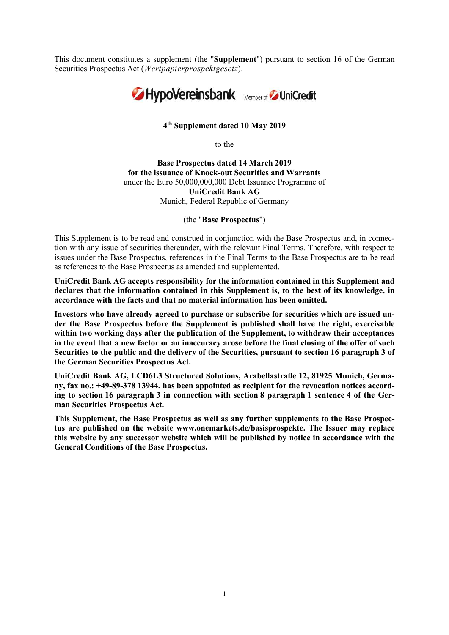This document constitutes a supplement (the "Supplement") pursuant to section 16 of the German Securities Prospectus Act (Wertpapierprospektgesetz).



## 4 th Supplement dated 10 May 2019

to the

Base Prospectus dated 14 March 2019 for the issuance of Knock-out Securities and Warrants under the Euro 50,000,000,000 Debt Issuance Programme of UniCredit Bank AG Munich, Federal Republic of Germany

(the "Base Prospectus")

This Supplement is to be read and construed in conjunction with the Base Prospectus and, in connection with any issue of securities thereunder, with the relevant Final Terms. Therefore, with respect to issues under the Base Prospectus, references in the Final Terms to the Base Prospectus are to be read as references to the Base Prospectus as amended and supplemented.

UniCredit Bank AG accepts responsibility for the information contained in this Supplement and declares that the information contained in this Supplement is, to the best of its knowledge, in accordance with the facts and that no material information has been omitted.

Investors who have already agreed to purchase or subscribe for securities which are issued under the Base Prospectus before the Supplement is published shall have the right, exercisable within two working days after the publication of the Supplement, to withdraw their acceptances in the event that a new factor or an inaccuracy arose before the final closing of the offer of such Securities to the public and the delivery of the Securities, pursuant to section 16 paragraph 3 of the German Securities Prospectus Act.

UniCredit Bank AG, LCD6L3 Structured Solutions, Arabellastraße 12, 81925 Munich, Germany, fax no.: +49-89-378 13944, has been appointed as recipient for the revocation notices according to section 16 paragraph 3 in connection with section 8 paragraph 1 sentence 4 of the German Securities Prospectus Act.

This Supplement, the Base Prospectus as well as any further supplements to the Base Prospectus are published on the website www.onemarkets.de/basisprospekte. The Issuer may replace this website by any successor website which will be published by notice in accordance with the General Conditions of the Base Prospectus.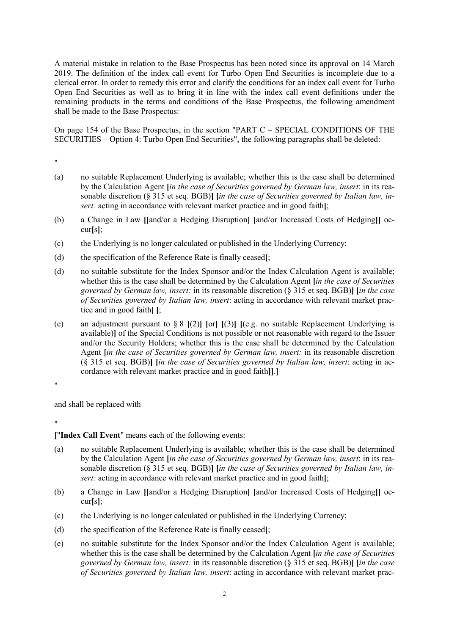A material mistake in relation to the Base Prospectus has been noted since its approval on 14 March 2019. The definition of the index call event for Turbo Open End Securities is incomplete due to a clerical error. In order to remedy this error and clarify the conditions for an index call event for Turbo Open End Securities as well as to bring it in line with the index call event definitions under the remaining products in the terms and conditions of the Base Prospectus, the following amendment shall be made to the Base Prospectus:

On page 154 of the Base Prospectus, in the section "PART C – SPECIAL CONDITIONS OF THE SECURITIES – Option 4: Turbo Open End Securities", the following paragraphs shall be deleted:

"

- (a) no suitable Replacement Underlying is available; whether this is the case shall be determined by the Calculation Agent [in the case of Securities governed by German law, insert: in its reasonable discretion ( $\S 315$  et seq. BGB)] [in the case of Securities governed by Italian law, insert: acting in accordance with relevant market practice and in good faith];
- (b) a Change in Law [[and/or a Hedging Disruption] [and/or Increased Costs of Hedging]] occur[s];
- (c) the Underlying is no longer calculated or published in the Underlying Currency;
- (d) the specification of the Reference Rate is finally ceased[;
- (d) no suitable substitute for the Index Sponsor and/or the Index Calculation Agent is available; whether this is the case shall be determined by the Calculation Agent *lin the case of Securities* governed by German law, insert: in its reasonable discretion (§ 315 et seq. BGB)] [in the case of Securities governed by Italian law, insert: acting in accordance with relevant market practice and in good faith] [;
- (e) an adjustment pursuant to  $\S 8$  [(2)] [or] [(3)] [(e.g. no suitable Replacement Underlying is available)] of the Special Conditions is not possible or not reasonable with regard to the Issuer and/or the Security Holders; whether this is the case shall be determined by the Calculation Agent *(in the case of Securities governed by German law, insert: in its reasonable discretion* (§ 315 et seq. BGB)] [in the case of Securities governed by Italian law, insert: acting in accordance with relevant market practice and in good faith]].]

"

and shall be replaced with

"

["Index Call Event" means each of the following events:

- (a) no suitable Replacement Underlying is available; whether this is the case shall be determined by the Calculation Agent *Jin the case of Securities governed by German law, insert:* in its reasonable discretion (§ 315 et seq. BGB)] [in the case of Securities governed by Italian law, insert: acting in accordance with relevant market practice and in good faith];
- (b) a Change in Law [[and/or a Hedging Disruption] [and/or Increased Costs of Hedging]] occur[s];
- (c) the Underlying is no longer calculated or published in the Underlying Currency;
- (d) the specification of the Reference Rate is finally ceased[;
- (e) no suitable substitute for the Index Sponsor and/or the Index Calculation Agent is available; whether this is the case shall be determined by the Calculation Agent [in the case of Securities governed by German law, insert: in its reasonable discretion (§ 315 et seq. BGB)] [in the case of Securities governed by Italian law, insert: acting in accordance with relevant market prac-